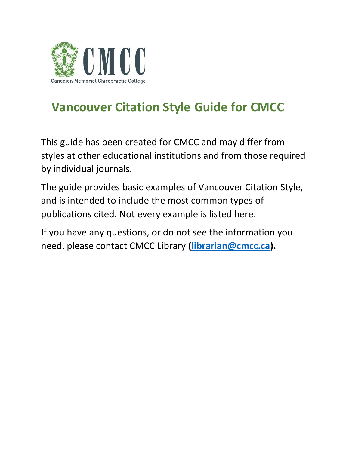

# **Vancouver Citation Style Guide for CMCC**

This guide has been created for CMCC and may differ from styles at other educational institutions and from those required by individual journals.

The guide provides basic examples of Vancouver Citation Style, and is intended to include the most common types of publications cited. Not every example is listed here.

If you have any questions, or do not see the information you need, please contact CMCC Library **[\(librarian@cmcc.ca\)](mailto:librarian@cmcc.ca).**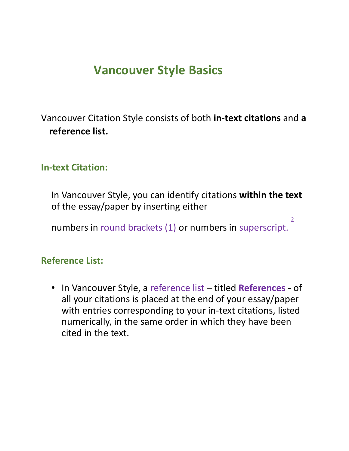Vancouver Citation Style consists of both **in-text citations** and **a reference list.**

#### **In-text Citation:**

In Vancouver Style, you can identify citations **within the text**  of the essay/paper by inserting either

2

numbers in round brackets (1) or numbers in superscript.

#### **Reference List:**

• In Vancouver Style, a reference list – titled **References -** of all your citations is placed at the end of your essay/paper with entries corresponding to your in-text citations, listed numerically, in the same order in which they have been cited in the text.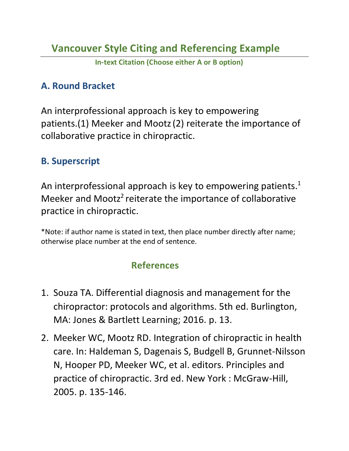**In-text Citation (Choose either A or B option)**

#### **A. Round Bracket**

An interprofessional approach is key to empowering patients.(1) Meeker and Mootz(2) reiterate the importance of collaborative practice in chiropractic.

#### **B. Superscript**

An interprofessional approach is key to empowering patients.<sup>1</sup> Meeker and Mootz<sup>2</sup> reiterate the importance of collaborative practice in chiropractic.

\*Note: if author name is stated in text, then place number directly after name; otherwise place number at the end of sentence.

## **References**

- 1. Souza TA. Differential diagnosis and management for the chiropractor: protocols and algorithms. 5th ed. Burlington, MA: Jones & Bartlett Learning; 2016. p. 13.
- 2. Meeker WC, Mootz RD. Integration of chiropractic in health care. In: Haldeman S, Dagenais S, Budgell B, Grunnet-Nilsson N, Hooper PD, Meeker WC, et al. editors. Principles and practice of chiropractic. 3rd ed. New York : McGraw-Hill, 2005. p. 135-146.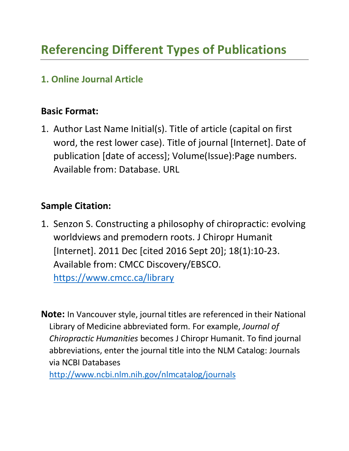## **1. Online Journal Article**

## **Basic Format:**

1. Author Last Name Initial(s). Title of article (capital on first word, the rest lower case). Title of journal [Internet]. Date of publication [date of access]; Volume(Issue):Page numbers. Available from: Database. URL

## **Sample Citation:**

1. Senzon S. Constructing a philosophy of chiropractic: evolving worldviews and premodern roots. J Chiropr Humanit [Internet]. 2011 Dec [cited 2016 Sept 20]; 18(1):10-23. Available from: CMCC Discovery/EBSCO.

<https://www.cmcc.ca/library>

**Note:** In Vancouver style, journal titles are referenced in their National Library of Medicine abbreviated form. For example, *Journal of Chiropractic Humanities* becomes J Chiropr Humanit. To find journal abbreviations, enter the journal title into the NLM Catalog: Journals via NCBI Databases

<http://www.ncbi.nlm.nih.gov/nlmcatalog/journals>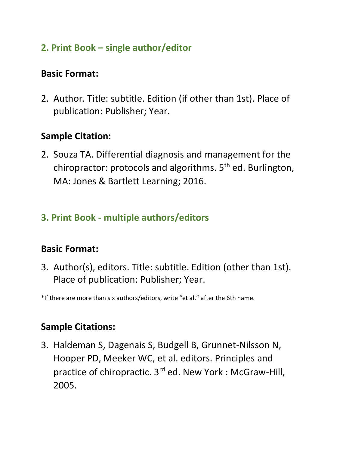## **2. Print Book – single author/editor**

#### **Basic Format:**

2. Author. Title: subtitle. Edition (if other than 1st). Place of publication: Publisher; Year.

## **Sample Citation:**

2. Souza TA. Differential diagnosis and management for the chiropractor: protocols and algorithms. 5<sup>th</sup> ed. Burlington, MA: Jones & Bartlett Learning; 2016.

## **3. Print Book - multiple authors/editors**

## **Basic Format:**

3. Author(s), editors. Title: subtitle. Edition (other than 1st). Place of publication: Publisher; Year.

\*If there are more than six authors/editors, write "et al." after the 6th name.

## **Sample Citations:**

3. Haldeman S, Dagenais S, Budgell B, Grunnet-Nilsson N, Hooper PD, Meeker WC, et al. editors. Principles and practice of chiropractic. 3<sup>rd</sup> ed. New York : McGraw-Hill, 2005.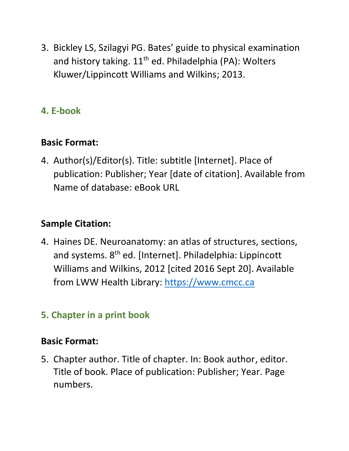3. Bickley LS, Szilagyi PG. Bates' guide to physical examination and history taking.  $11<sup>th</sup>$  ed. Philadelphia (PA): Wolters Kluwer/Lippincott Williams and Wilkins; 2013.

## **4. E-book**

## **Basic Format:**

4. Author(s)/Editor(s). Title: subtitle [Internet]. Place of publication: Publisher; Year [date of citation]. Available from Name of database: eBook URL

## **Sample Citation:**

4. Haines DE. Neuroanatomy: an atlas of structures, sections, and systems. 8<sup>th</sup> ed. [Internet]. Philadelphia: Lippincott Williams and Wilkins, 2012 [cited 2016 Sept 20]. Available from LWW Health Library: [https://www.cmcc.ca](https://www.cmcc.ca/)

## **5. Chapter in a print book**

#### **Basic Format:**

5. Chapter author. Title of chapter. In: Book author, editor. Title of book. Place of publication: Publisher; Year. Page numbers.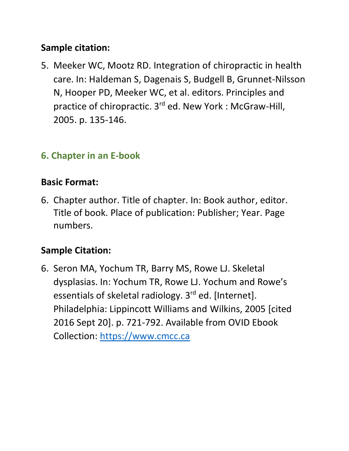## **Sample citation:**

5. Meeker WC, Mootz RD. Integration of chiropractic in health care. In: Haldeman S, Dagenais S, Budgell B, Grunnet-Nilsson N, Hooper PD, Meeker WC, et al. editors. Principles and practice of chiropractic. 3rd ed. New York : McGraw-Hill, 2005. p. 135-146.

## **6. Chapter in an E-book**

#### **Basic Format:**

6. Chapter author. Title of chapter. In: Book author, editor. Title of book. Place of publication: Publisher; Year. Page numbers.

## **Sample Citation:**

6. Seron MA, Yochum TR, Barry MS, Rowe LJ. Skeletal dysplasias. In: Yochum TR, Rowe LJ. Yochum and Rowe's essentials of skeletal radiology. 3<sup>rd</sup> ed. [Internet]. Philadelphia: Lippincott Williams and Wilkins, 2005 [cited 2016 Sept 20]. p. 721-792. Available from OVID Ebook Collection: [https://www.cmcc.ca](https://www.cmcc.ca/)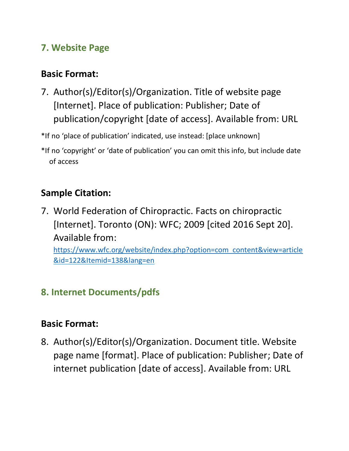## **7. Website Page**

## **Basic Format:**

7. Author(s)/Editor(s)/Organization. Title of website page [Internet]. Place of publication: Publisher; Date of publication/copyright [date of access]. Available from: URL

\*If no 'place of publication' indicated, use instead: [place unknown]

\*If no 'copyright' or 'date of publication' you can omit this info, but include date of access

## **Sample Citation:**

7. World Federation of Chiropractic. Facts on chiropractic [Internet]. Toronto (ON): WFC; 2009 [cited 2016 Sept 20]. Available from: [https://www.wfc.org/website/index.php?option=com\\_content&view=article](https://www.wfc.org/website/index.php?option=com_content&view=article&id=122&Itemid=138&lang=en) [&id=122&Itemid=138&lang=en](https://www.wfc.org/website/index.php?option=com_content&view=article&id=122&Itemid=138&lang=en)

## **8. Internet Documents/pdfs**

## **Basic Format:**

8. Author(s)/Editor(s)/Organization. Document title. Website page name [format]. Place of publication: Publisher; Date of internet publication [date of access]. Available from: URL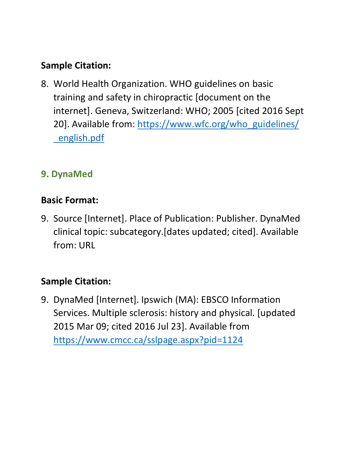## **Sample Citation:**

8. World Health Organization. WHO guidelines on basic training and safety in chiropractic [document on the internet]. Geneva, Switzerland: WHO; 2005 [cited 2016 Sept 20]. Available from: [https://www.wfc.org/who\\_guidelines/](https://www.wfc.org/who_guidelines/%20_english.pdf)  [\\_english.pdf](https://www.wfc.org/who_guidelines/%20_english.pdf)

## **9. DynaMed**

## **Basic Format:**

9. Source [Internet]. Place of Publication: Publisher. DynaMed clinical topic: subcategory.[dates updated; cited]. Available from: URL

## **Sample Citation:**

9. DynaMed [Internet]. Ipswich (MA): EBSCO Information Services. Multiple sclerosis: history and physical. [updated 2015 Mar 09; cited 2016 Jul 23]. Available from <https://www.cmcc.ca/sslpage.aspx?pid=1124>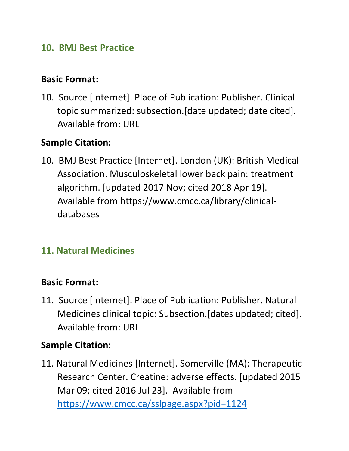#### **10. BMJ Best Practice**

#### **Basic Format:**

10. Source [Internet]. Place of Publication: Publisher. Clinical topic summarized: subsection.[date updated; date cited]. Available from: URL

#### **Sample Citation:**

10. BMJ Best Practice [Internet]. London (UK): British Medical Association. Musculoskeletal lower back pain: treatment algorithm. [updated 2017 Nov; cited 2018 Apr 19]. Available from [https://www.cmcc.ca/library/clinical](https://www.cmcc.ca/library/clinical-databases)[databases](https://www.cmcc.ca/library/clinical-databases)

#### **11. Natural Medicines**

#### **Basic Format:**

11. Source [Internet]. Place of Publication: Publisher. Natural Medicines clinical topic: Subsection.[dates updated; cited]. Available from: URL

#### **Sample Citation:**

11*.* Natural Medicines [Internet]. Somerville (MA): Therapeutic Research Center. Creatine: adverse effects. [updated 2015 Mar 09; cited 2016 Jul 23]. Available from <https://www.cmcc.ca/sslpage.aspx?pid=1124>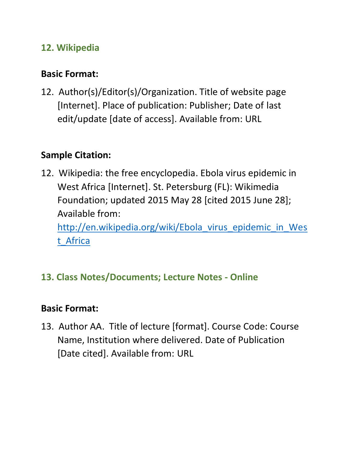## **12. Wikipedia**

## **Basic Format:**

12. Author(s)/Editor(s)/Organization. Title of website page [Internet]. Place of publication: Publisher; Date of last edit/update [date of access]. Available from: URL

## **Sample Citation:**

12. Wikipedia: the free encyclopedia. Ebola virus epidemic in West Africa [Internet]. St. Petersburg (FL): Wikimedia Foundation; updated 2015 May 28 [cited 2015 June 28]; Available from: [http://en.wikipedia.org/wiki/Ebola\\_virus\\_epidemic\\_in\\_Wes](http://en.wikipedia.org/wiki/Ebola_virus_epidemic_in_West_Africa) [t\\_Africa](http://en.wikipedia.org/wiki/Ebola_virus_epidemic_in_West_Africa)

## **13. Class Notes/Documents; Lecture Notes - Online**

## **Basic Format:**

13. Author AA. Title of lecture [format]. Course Code: Course Name, Institution where delivered. Date of Publication [Date cited]. Available from: URL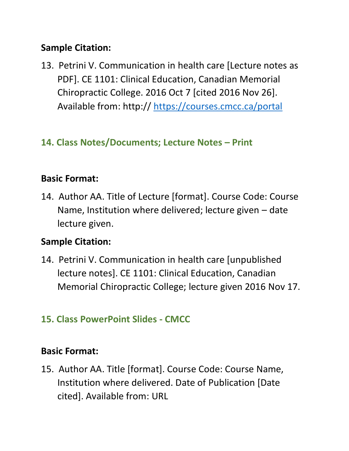## **Sample Citation:**

13. Petrini V. Communication in health care [Lecture notes as PDF]. CE 1101: Clinical Education, Canadian Memorial Chiropractic College. 2016 Oct 7 [cited 2016 Nov 26]. Available from: http://<https://courses.cmcc.ca/portal>

## **14. Class Notes/Documents; Lecture Notes – Print**

## **Basic Format:**

14. Author AA. Title of Lecture [format]. Course Code: Course Name, Institution where delivered; lecture given – date lecture given.

## **Sample Citation:**

14. Petrini V. Communication in health care [unpublished lecture notes]. CE 1101: Clinical Education, Canadian Memorial Chiropractic College; lecture given 2016 Nov 17.

## **15. Class PowerPoint Slides - CMCC**

#### **Basic Format:**

15. Author AA. Title [format]. Course Code: Course Name, Institution where delivered. Date of Publication [Date cited]. Available from: URL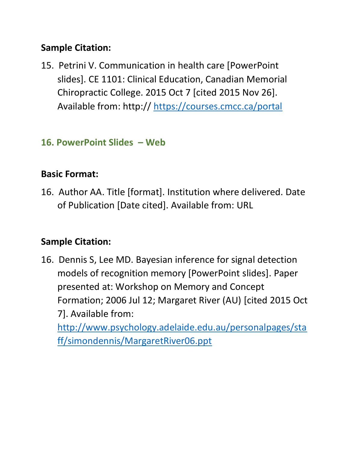## **Sample Citation:**

15. Petrini V. Communication in health care [PowerPoint slides]. CE 1101: Clinical Education, Canadian Memorial Chiropractic College. 2015 Oct 7 [cited 2015 Nov 26]. Available from: http://<https://courses.cmcc.ca/portal>

## **16. PowerPoint Slides – Web**

## **Basic Format:**

16. Author AA. Title [format]. Institution where delivered. Date of Publication [Date cited]. Available from: URL

## **Sample Citation:**

16. Dennis S, Lee MD. Bayesian inference for signal detection models of recognition memory [PowerPoint slides]. Paper presented at: Workshop on Memory and Concept Formation; 2006 Jul 12; Margaret River (AU) [cited 2015 Oct 7]. Available from: [http://www.psychology.adelaide.edu.au/personalpages/sta](http://www.psychology.adelaide.edu.au/personalpages/staff/simondennis/MargaretRiver06.ppt)

[ff/simondennis/MargaretRiver06.ppt](http://www.psychology.adelaide.edu.au/personalpages/staff/simondennis/MargaretRiver06.ppt)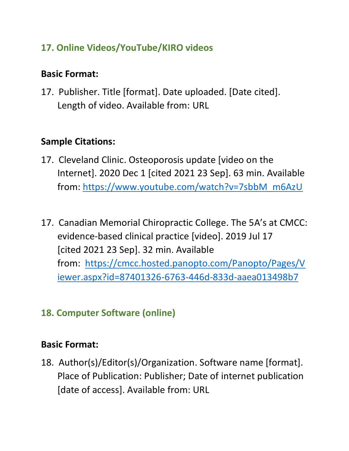## **17. Online Videos/YouTube/KIRO videos**

#### **Basic Format:**

17. Publisher. Title [format]. Date uploaded. [Date cited]. Length of video. Available from: URL

## **Sample Citations:**

- 17. Cleveland Clinic. Osteoporosis update [video on the Internet]. 2020 Dec 1 [cited 2021 23 Sep]. 63 min. Available from: [https://www.youtube.com/watch?v=7sbbM\\_m6AzU](https://www.youtube.com/watch?v=7sbbM_m6AzU)
- 17. Canadian Memorial Chiropractic College. The 5A's at CMCC: evidence-based clinical practice [video]. 2019 Jul 17 [cited 2021 23 Sep]. 32 min. Available from: [https://cmcc.hosted.panopto.com/Panopto/Pages/V](https://cmcc.hosted.panopto.com/Panopto/Pages/Viewer.aspx?id=87401326-6763-446d-833d-aaea013498b7) [iewer.aspx?id=87401326-6763-446d-833d-aaea013498b7](https://cmcc.hosted.panopto.com/Panopto/Pages/Viewer.aspx?id=87401326-6763-446d-833d-aaea013498b7)

## **18. Computer Software (online)**

## **Basic Format:**

18. Author(s)/Editor(s)/Organization. Software name [format]. Place of Publication: Publisher; Date of internet publication [date of access]. Available from: URL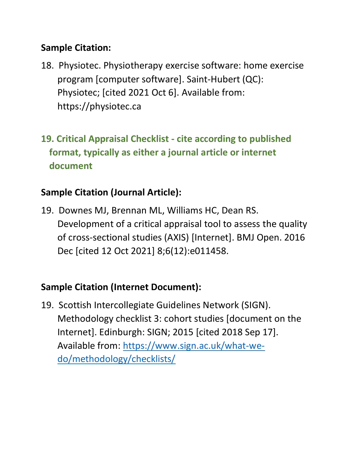## **Sample Citation:**

- 18. Physiotec. Physiotherapy exercise software: home exercise program [computer software]. Saint-Hubert (QC): Physiotec; [cited 2021 Oct 6]. Available from: https://physiotec.ca
- **19. Critical Appraisal Checklist - cite according to published format, typically as either a journal article or internet document**

## **Sample Citation (Journal Article):**

19. Downes MJ, Brennan ML, Williams HC, Dean RS. Development of a critical appraisal tool to assess the quality of cross-sectional studies (AXIS) [Internet]. BMJ Open. 2016 Dec [cited 12 Oct 2021] 8;6(12):e011458.

## **Sample Citation (Internet Document):**

19. Scottish Intercollegiate Guidelines Network (SIGN). Methodology checklist 3: cohort studies [document on the Internet]. Edinburgh: SIGN; 2015 [cited 2018 Sep 17]. Available from: [https://www.sign.ac.uk/what-we](https://www.sign.ac.uk/what-we-do/methodology/checklists/)[do/methodology/checklists/](https://www.sign.ac.uk/what-we-do/methodology/checklists/)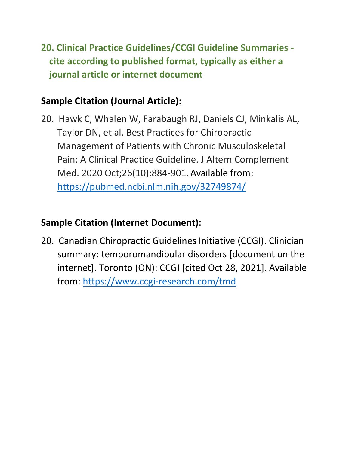**20. Clinical Practice Guidelines/CCGI Guideline Summaries cite according to published format, typically as either a journal article or internet document**

## **Sample Citation (Journal Article):**

20. Hawk C, Whalen W, Farabaugh RJ, Daniels CJ, Minkalis AL, Taylor DN, et al. Best Practices for Chiropractic Management of Patients with Chronic Musculoskeletal Pain: A Clinical Practice Guideline. J Altern Complement Med. 2020 Oct;26(10):884-901.Available from: <https://pubmed.ncbi.nlm.nih.gov/32749874/>

#### **Sample Citation (Internet Document):**

20. Canadian Chiropractic Guidelines Initiative (CCGI). Clinician summary: temporomandibular disorders [document on the internet]. Toronto (ON): CCGI [cited Oct 28, 2021]. Available from:<https://www.ccgi-research.com/tmd>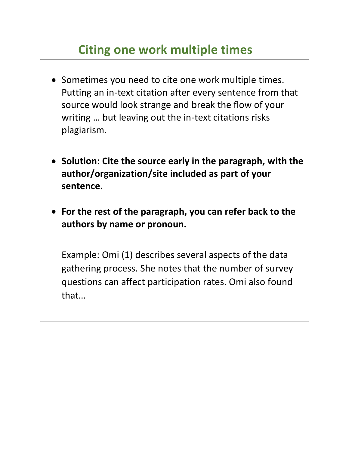# **Citing one work multiple times**

- Sometimes you need to cite one work multiple times. Putting an in-text citation after every sentence from that source would look strange and break the flow of your writing … but leaving out the in-text citations risks plagiarism.
- **Solution: Cite the source early in the paragraph, with the author/organization/site included as part of your sentence.**
- **For the rest of the paragraph, you can refer back to the authors by name or pronoun.**

Example: Omi (1) describes several aspects of the data gathering process. She notes that the number of survey questions can affect participation rates. Omi also found that…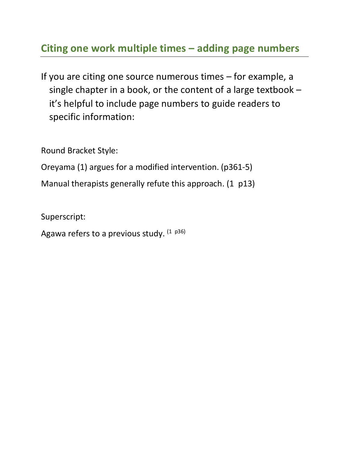## **Citing one work multiple times – adding page numbers**

If you are citing one source numerous times – for example, a single chapter in a book, or the content of a large textbook – it's helpful to include page numbers to guide readers to specific information:

Round Bracket Style:

Oreyama (1) argues for a modified intervention. (p361-5)

Manual therapists generally refute this approach. (1 p13)

Superscript:

Agawa refers to a previous study.  $(1-p36)$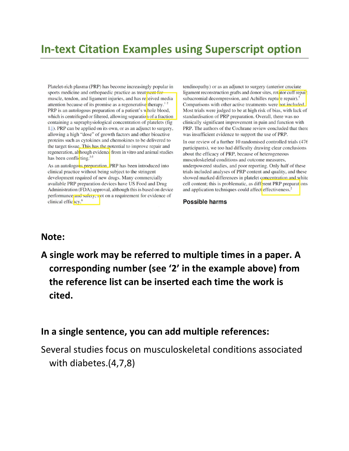## **In-text Citation Examples using Superscript option**

Platelet-rich plasma (PRP) has become increasingly popular in sports medicine and orthopaedic practice as treatment for muscle, tendon, and ligament injuries, and has reveloped media attention because of its promise as a regenerative therapy.<sup>12</sup> PRP is an autologous preparation of a patient's whole blood, which is centrifuged or filtered, allowing separation of a fraction containing a supraphysiological concentration of platelets (fig 1. (1). PRP can be applied on its own, or as an adjunct to surgery, allowing a high "dose" of growth factors and other bioactive proteins such as cytokines and chemokines to be delivered to the target tissue. This has the potential to improve repair and regeneration, although evidence from in vitro and animal studies has been conflicting.<sup>3-5</sup>

As an autologous preparation. PRP has been introduced into clinical practice without being subject to the stringent development required of new drugs. Many commercially available PRP preparation devices have US Food and Drug Administration (FDA) approval, although this is based on device performance and safety, not on a requirement for evidence of clinical effic icy.<sup>6</sup>

tendinopathy) or as an adjunct to surgery (anterior cruciate ligament reconstruction grafts and donor sites, rotator cuff repair, subacromial decompression, and Achilles rupture repair).<sup>7</sup> Comparisons with other active treatments were not included Most trials were judged to be at high risk of bias, with lack of standardisation of PRP preparation. Overall, there was no clinically significant improvement in pain and function with PRP. The authors of the Cochrane review concluded that there was insufficient evidence to support the use of PRP.

In our review of a further 10 randomised controlled trials (476 participants), we too had difficulty drawing clear conclusions about the efficacy of PRP, because of heterogeneous musculoskeletal conditions and outcome measures, underpowered studies, and poor reporting. Only half of these trials included analyses of PRP content and quality, and these showed marked differences in platelet concentration and white cell content; this is problematic, as different PRP preparations and application techniques could affect effectiveness.<sup>2</sup>

#### **Possible harms**

#### **Note:**

**A single work may be referred to multiple times in a paper. A corresponding number (see '2' in the example above) from the reference list can be inserted each time the work is cited.**

#### **In a single sentence, you can add multiple references:**

Several studies focus on musculoskeletal conditions associated with diabetes.(4,7,8)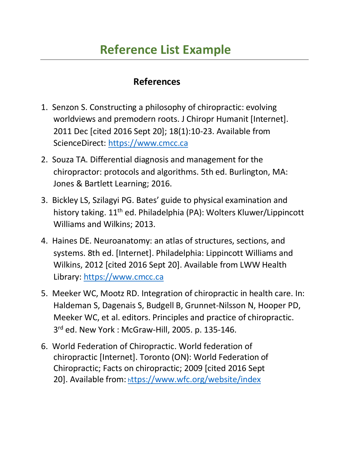# **Reference List Example**

#### **References**

- 1. Senzon S. Constructing a philosophy of chiropractic: evolving worldviews and premodern roots. J Chiropr Humanit [Internet]. 2011 Dec [cited 2016 Sept 20]; 18(1):10-23. Available from ScienceDirect: [https://www.cmcc.ca](https://www.cmcc.ca/)
- 2. Souza TA. Differential diagnosis and management for the chiropractor: protocols and algorithms. 5th ed. Burlington, MA: Jones & Bartlett Learning; 2016.
- 3. Bickley LS, Szilagyi PG. Bates' guide to physical examination and history taking. 11<sup>th</sup> ed. Philadelphia (PA): Wolters Kluwer/Lippincott Williams and Wilkins; 2013.
- 4. Haines DE. Neuroanatomy: an atlas of structures, sections, and systems. 8th ed. [Internet]. Philadelphia: Lippincott Williams and Wilkins, 2012 [cited 2016 Sept 20]. Available from LWW Health Library: [https://www.cmcc.ca](https://www.cmcc.ca/)
- 5. Meeker WC, Mootz RD. Integration of chiropractic in health care. In: Haldeman S, Dagenais S, Budgell B, Grunnet-Nilsson N, Hooper PD, Meeker WC, et al. editors. Principles and practice of chiropractic. 3 rd ed. New York : McGraw-Hill, 2005. p. 135-146.
- 6. World Federation of Chiropractic. World federation of chiropractic [Internet]. Toronto (ON): World Federation of Chiropractic; Facts on chiropractic; 2009 [cited 2016 Sept 20]. Available from: <sup>h</sup>[ttps://www.wfc.org/website/index](https://www.wfc.org/website/index)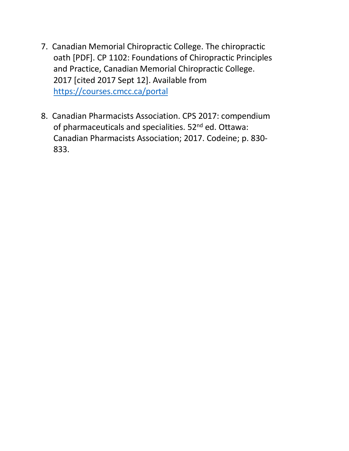- 7. Canadian Memorial Chiropractic College. The chiropractic oath [PDF]. CP 1102: Foundations of Chiropractic Principles and Practice, Canadian Memorial Chiropractic College. 2017 [cited 2017 Sept 12]. Available from <https://courses.cmcc.ca/portal>
- 8. Canadian Pharmacists Association. CPS 2017: compendium of pharmaceuticals and specialities. 52<sup>nd</sup> ed. Ottawa: Canadian Pharmacists Association; 2017. Codeine; p. 830- 833.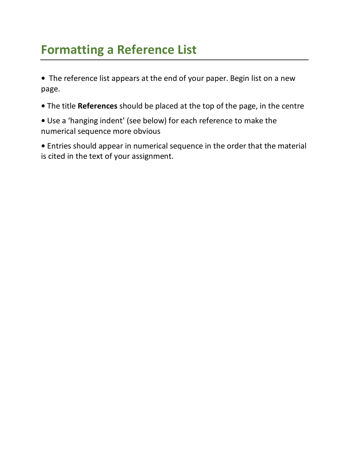# **Formatting a Reference List**

**•** The reference list appears at the end of your paper. Begin list on a new page.

- **•** The title **References** should be placed at the top of the page, in the centre
- **•** Use a 'hanging indent' (see below) for each reference to make the numerical sequence more obvious

**•** Entries should appear in numerical sequence in the order that the material is cited in the text of your assignment.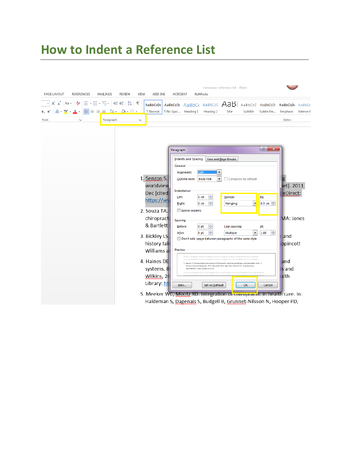# **How to Indent a Reference List**

| PAGE LAYOUT                                     | <b>REFERENCES</b>                         | MAILINGS  | <b>REVIEW</b>                                                                 | VIEW | ADD-INS                                                                                                                                                                                                     |                                                               | vancouver reference list - Word<br>ACROBAT<br>RefWorks                                                                                                         |                                                                                                                                                                                                                                                                                                                                                                                                                                                                                                                                                                                                                                    |                                                                                                           |                                                                                |                                                                                                       |                                                                                       |           |  |
|-------------------------------------------------|-------------------------------------------|-----------|-------------------------------------------------------------------------------|------|-------------------------------------------------------------------------------------------------------------------------------------------------------------------------------------------------------------|---------------------------------------------------------------|----------------------------------------------------------------------------------------------------------------------------------------------------------------|------------------------------------------------------------------------------------------------------------------------------------------------------------------------------------------------------------------------------------------------------------------------------------------------------------------------------------------------------------------------------------------------------------------------------------------------------------------------------------------------------------------------------------------------------------------------------------------------------------------------------------|-----------------------------------------------------------------------------------------------------------|--------------------------------------------------------------------------------|-------------------------------------------------------------------------------------------------------|---------------------------------------------------------------------------------------|-----------|--|
| $A^{\dagger} A^{\dagger}$<br>A -<br>$X_2$ $X^2$ | Ą<br>Aa -<br>$\frac{dy}{dx}$ + $\Delta$ + |           | 狂×狂×祝×  硅硅  纵  ¶<br>$\equiv \equiv \equiv \equiv \pm 1.5 \cdot 10.7 \pm 0.00$ |      | <b>T</b> Normal                                                                                                                                                                                             | T No Spac Heading 1                                           |                                                                                                                                                                | AaBbCcDt AaBbCcDt AaBbCt AaBbCcC AaB aaBbCcC AaBbCcDt<br>Heading 2                                                                                                                                                                                                                                                                                                                                                                                                                                                                                                                                                                 | Title                                                                                                     | Subtitle                                                                       | Subtle Em                                                                                             | AaBbCcDt AaBbCci<br>Emphasis                                                          | Intense E |  |
| Font                                            | $\overline{\Gamma_{24}}$                  | Paragraph |                                                                               | Б.   |                                                                                                                                                                                                             |                                                               |                                                                                                                                                                |                                                                                                                                                                                                                                                                                                                                                                                                                                                                                                                                                                                                                                    |                                                                                                           |                                                                                |                                                                                                       | Styles                                                                                |           |  |
|                                                 |                                           |           |                                                                               |      | 1. Senzon S.<br>worldview<br>Dec [cited<br>https://wv<br>2. Souza TA.<br>chiropract<br>& Bartlett<br>3. Bickley LS<br>history tak<br>Williams a<br>4. Haines DE<br>systems. 8<br>Wilkins, 20<br>Library: ht | Paragraph<br>General<br>Left:<br>Spacing<br>After:<br>Preview | <b>Indents and Spacing</b><br>Alignment:<br>Outline level:<br>Indentation<br>Right:<br>Mirror indents<br>Before:<br>ScienceDirect: https://www.cmcc.ca<br>Tabs | Left<br><b>Body Text</b><br>수<br>$0 \text{ cm}$<br>÷<br>0 <sub>cm</sub><br>÷<br>0 <sub>pt</sub><br>÷<br>8 pt<br>Don't add space between paragraphs of the same style<br>hwious Paragraph Prwious Paragraph Previous Paragraph Previous Paragraph Previous Paragraph<br>1. Senzon S. Constructing a philosophy of chiropractic: evolving worldviews and premodem roots. J<br>Chiropr Humanit (Internet). 2011 Dec (cited 2016 Sept 20); 18(1):10-23. Available from<br>Set As Default<br>5. Meeker WC, Mootz RD. Integration of Ginopractic in health care. In:<br>Haldeman S, Dagenais S, Budgell B, Grunnet-Nilsson N, Hooper PD, | Line and Page Breaks<br>۰<br>$\overline{\phantom{a}}$<br>Special:<br>Hanging<br>Line spacing:<br>Multiple | Collapsed by default<br>$\overline{\phantom{a}}$<br>$\blacktriangledown$<br>OK | $\sqrt{2}$<br>$\mathbf{x}$<br>By:<br>$0.5$ cm $\Rightarrow$<br><u>Аt:</u><br>$\div$<br>1.08<br>Cancel | et]. 2011<br>eDirect:<br>MA: Jones<br>and<br>ppincott<br>land<br>s and<br><b>alth</b> |           |  |